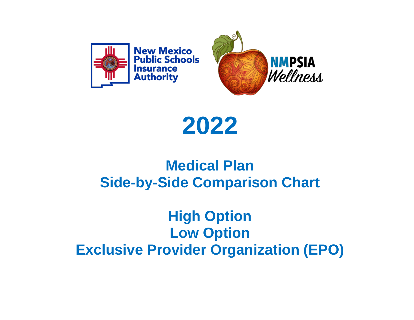

# **2022**

## **Medical Plan Side-by-Side Comparison Chart**

### **High Option Low Option Exclusive Provider Organization (EPO)**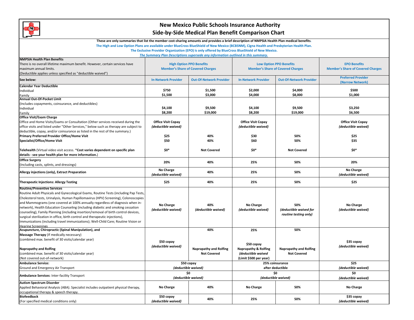

These are only summaries that list the member cost-sharing amounts and provides a brief description of NMPSIA Health Plan medical benefits.

The High and Low Option Plans are available under BlueCross BlueShield of New Mexico (BCBSNM), Cigna Health and Presbyterian Health Plan.

**The Exclusive Provider Organization (EPO) is only offered by BlueCross BlueShield of New Mexico.**

*The Summary Plan Descriptions supersede any information outlined in this summary.*

| <b>NMPSIA Health Plan Benefits</b>                                                    |                                          |                                |                                          |                                |                                          |
|---------------------------------------------------------------------------------------|------------------------------------------|--------------------------------|------------------------------------------|--------------------------------|------------------------------------------|
|                                                                                       | <b>High Option PPO Benefits</b>          |                                | <b>Low Option PPO Benefits</b>           |                                | <b>EPO Benefits</b>                      |
| There is no overall lifetime maximum benefit. However, certain services have          |                                          |                                |                                          |                                |                                          |
| maximum annual limits.                                                                | <b>Member's Share of Covered Charges</b> |                                | <b>Member's Share of Covered Charges</b> |                                | <b>Member's Share of Covered Charges</b> |
| (Deductible applies unless specified as "deductible waived")                          |                                          |                                |                                          |                                | <b>Preferred Provider</b>                |
| See below:                                                                            | <b>In-Network Provider</b>               | <b>Out-Of-Network Provider</b> | <b>In-Network Provider</b>               | <b>Out-Of-Network Provider</b> | (Narrow Network)                         |
| <b>Calendar Year Deductible</b>                                                       |                                          |                                |                                          |                                |                                          |
| Individual                                                                            | \$750                                    | \$1,500                        | \$2,000                                  | \$4,000                        | \$500                                    |
| Family                                                                                | \$1,500                                  | \$3,000                        | \$4,000                                  | \$8,000                        | \$1,000                                  |
| Annual Out-Of-Pocket Limit                                                            |                                          |                                |                                          |                                |                                          |
| (Includes copayments, coinsurance, and deductibles)                                   |                                          |                                |                                          |                                |                                          |
| Individual                                                                            | \$4,100                                  | \$9,500                        | \$4,100                                  | \$9,500                        | \$3,250                                  |
| Family                                                                                | \$8,200                                  | \$19,000                       | \$8,200                                  | \$19,000                       | \$6,500                                  |
| <b>Office Visit/Exam Charge</b>                                                       |                                          |                                |                                          |                                |                                          |
| Office and Home Visits/Exams or Consultation (Other services received during the      | <b>Office Visit Copay</b>                |                                | <b>Office Visit Copay</b>                |                                | <b>Office Visit Copay</b>                |
| office visits and listed under "Other Services," below such as therapy are subject to | (deductible waived)                      |                                | (deductible waived)                      |                                | (deductible waived)                      |
| deductible, copay, and/or coinsurance as listed in the rest of the summary.)          |                                          |                                |                                          |                                |                                          |
| Primary Preferred Provider Office/Home Visit                                          | \$25                                     | 40%                            | \$30                                     | 50%                            | \$25                                     |
| Specialist/Office/Home Visit                                                          | \$50                                     | 40%                            | \$60                                     | 50%                            | \$35                                     |
|                                                                                       |                                          |                                |                                          |                                |                                          |
| Telehealth (Virtual video visit access. *Cost varies dependent on specific plan       | \$0*                                     | <b>Not Covered</b>             | \$0*                                     | <b>Not Covered</b>             | \$0*                                     |
| details - see your health plan for more information.)                                 |                                          |                                |                                          |                                |                                          |
| <b>Office Surgery</b>                                                                 |                                          |                                |                                          |                                |                                          |
|                                                                                       | 20%                                      | 40%                            | 25%                                      | 50%                            | 20%                                      |
| (Including casts, splints, and dressings)                                             |                                          |                                |                                          |                                |                                          |
| Allergy injections (only), Extract Preparation                                        | No Charge<br>(deductible waived)         | 40%                            | 25%                                      | 50%                            | No Charge<br>(deductible waived)         |
| <b>Therapeutic Injections: Allergy Testing</b>                                        | \$25                                     | 40%                            | 25%                                      | 50%                            | \$25                                     |
| <b>Routine/Preventive Services</b>                                                    |                                          |                                |                                          |                                |                                          |
| Routine Adult Physicals and Gynecological Exams, Routine Tests (including Pap Tests,  |                                          |                                |                                          |                                |                                          |
| Cholesterol tests, Urinalysis, Human Papillomavirus (HPV) Screening), Colonoscopies   |                                          |                                |                                          |                                |                                          |
| and Mammograms (one covered at 100% annually regardless of diagnosis when in-         |                                          | 40%                            |                                          | 50%                            |                                          |
| network), Health Education Counseling (including diabetic and smoking cessation       | No Charge                                |                                | No Charge                                |                                | No Charge                                |
| counseling), Family Planning (including insertion/removal of birth control devices,   | (deductible waived)                      | (deductible waived)            | (deductible waived)                      | (deductible waived for         | (deductible waived)                      |
| surgical sterilization in office, birth control and therapeutic injections),          |                                          |                                |                                          | routine testing only)          |                                          |
| Immunizations (including travel immunizations); Well-Child Care; Routine Vision or    |                                          |                                |                                          |                                |                                          |
| <b>Hearing Screenings</b>                                                             |                                          |                                |                                          |                                |                                          |
| Acupuncture, Chiropractic (Spinal Manipulation), and                                  |                                          | 40%                            | 25%                                      | 50%                            |                                          |
| Massage Therapy (If medically necessary)                                              |                                          |                                |                                          |                                |                                          |
| (combined max. benefit of 30 visits/calendar year)                                    |                                          |                                |                                          |                                |                                          |
|                                                                                       | \$50 copay                               |                                | \$50 copay                               |                                | \$35 copay                               |
| <b>Naprapathy and Rolfing</b>                                                         | (deductible waived)                      | Naprapathy and Rolfing         | <b>Naprapathy &amp; Rolfing</b>          | Naprapathy and Rolfing         | (deductible waived)                      |
| (combined max. benefit of 30 visits/calendar year)                                    |                                          | <b>Not Covered</b>             | (deductible waived                       | <b>Not Covered</b>             |                                          |
|                                                                                       |                                          |                                |                                          |                                |                                          |
| (Not covered out-of-network)                                                          |                                          |                                | (Limit \$500 per year)                   |                                |                                          |
| <b>Ambulance Service:</b>                                                             | \$50 copay                               |                                | 25% coinsurance                          |                                | \$25                                     |
| Ground and Emergency Air Transport                                                    | (deductible waived)                      |                                | after deductible                         |                                | (deductible waived)                      |
| Ambulance Services: Inter-facility Transport                                          | \$O.<br>(deductible waived)              |                                | \$0<br>(deductible waived)               |                                | \$O<br>(deductible waived)               |
| <b>Autism Spectrum Disorder</b>                                                       |                                          |                                |                                          |                                |                                          |
| Applied Behavioral Analysis (ABA). Specialist includes outpatient physical therapy,   | No Charge                                | 40%                            | No Charge                                | 50%                            | No Charge                                |
| occupational therapy & speech therapy.                                                |                                          |                                |                                          |                                |                                          |
| <b>Biofeedback</b>                                                                    | \$50 copay                               |                                |                                          |                                | \$35 copay                               |
| (For specified medical conditions only)                                               | (deductible waived)                      | 40%                            | 25%                                      | 50%                            | (deductible waived)                      |
|                                                                                       |                                          |                                |                                          |                                |                                          |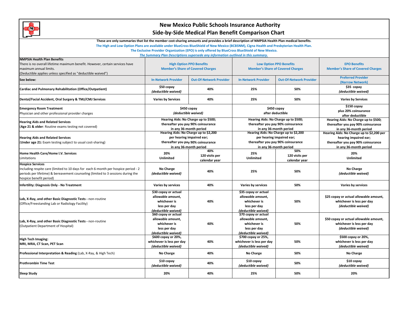

These are only summaries that list the member cost-sharing amounts and provides a brief description of NMPSIA Health Plan medical benefits.

The High and Low Option Plans are available under BlueCross BlueShield of New Mexico (BCBSNM), Cigna Health and Presbyterian Health Plan.

**The Exclusive Provider Organization (EPO) is only offered by BlueCross BlueShield of New Mexico.**

*The Summary Plan Descriptions supersede any information outlined in this summary.*

| <b>NMPSIA Health Plan Benefits</b><br>There is no overall lifetime maximum benefit. However, certain services have<br>maximum annual limits.<br>(Deductible applies unless specified as "deductible waived")                | <b>High Option PPO Benefits</b><br><b>Member's Share of Covered Charges</b>                                                        |                                        | <b>Low Option PPO Benefits</b><br><b>Member's Share of Covered Charges</b>                                                         |                                        | <b>EPO Benefits</b><br><b>Member's Share of Covered Charges</b>                                                                    |
|-----------------------------------------------------------------------------------------------------------------------------------------------------------------------------------------------------------------------------|------------------------------------------------------------------------------------------------------------------------------------|----------------------------------------|------------------------------------------------------------------------------------------------------------------------------------|----------------------------------------|------------------------------------------------------------------------------------------------------------------------------------|
| See below:                                                                                                                                                                                                                  | <b>In-Network Provider</b>                                                                                                         | <b>Out-Of-Network Provider</b>         | <b>In-Network Provider</b>                                                                                                         | <b>Out-Of-Network Provider</b>         | <b>Preferred Provider</b><br>(Narrow Network)                                                                                      |
| Cardiac and Pulmonary Rehabilitation (Office/Outpatient)                                                                                                                                                                    | \$50 copay<br>(deductible waived)                                                                                                  | 40%                                    | 25%                                                                                                                                | 50%                                    | \$35 copay<br>(deductible waived)                                                                                                  |
| Dental/Facial Accident, Oral Surgery & TMJ/CMJ Services                                                                                                                                                                     | <b>Varies by Services</b>                                                                                                          | 40%                                    | 25%                                                                                                                                | 50%                                    | <b>Varies by Services</b>                                                                                                          |
| <b>Emergency Room Treatment</b><br>Physician and other professional provider charges                                                                                                                                        | \$450 copay<br>(deductible waived)                                                                                                 |                                        | \$450 copay<br>after deductible                                                                                                    |                                        | \$150 copay<br>plus 20% coinsurance<br>after deductible                                                                            |
| <b>Hearing Aids and Related Services</b><br>(Age 21 & older: Routine exams testing not covered)                                                                                                                             | Hearing Aids: No Charge up to \$500;<br>thereafter you pay 90% coinsurance<br>in any 36-month period                               |                                        | Hearing Aids: No Charge up to \$500;<br>thereafter you pay 90% coinsurance<br>in any 36-month period                               |                                        | Hearing Aids: No Charge up to \$500;<br>thereafter you pay 90% coinsurance<br>in any 36-month period                               |
| <b>Hearing Aids and Related Services</b><br><b>Under age 21:</b> Exam testing subject to usual cost-sharing)                                                                                                                | Hearing Aids: No Charge up to \$2,200<br>per hearing impaired ear;<br>thereafter you pay 90% coinsurance<br>in any 36-month period |                                        | Hearing Aids: No Charge up to \$2,200<br>per hearing impaired ear;<br>thereafter you pay 90% coinsurance<br>in any 36-month period |                                        | Hearing Aids: No Charge up to \$2,200 per<br>hearing impaired ear;<br>thereafter you pay 90% coinsurance<br>in any 36-month period |
| Home Health Care/Home I.V. Services<br>Limitations                                                                                                                                                                          | 20%<br><b>Unlimited</b>                                                                                                            | 40%<br>120 visits per<br>calendar year | 25%<br>Unlimited                                                                                                                   | 50%<br>120 visits per<br>calendar year | 20%<br><b>Unlimited</b>                                                                                                            |
| <b>Hospice Services</b><br>Including respite care (limited to 10 days for each 6-month per hospice period - 2<br>periods per lifetime) & bereavement counseling (limited to 3 sessions during the<br>ospice benefit period) | No Charge<br>(deductible waived)                                                                                                   | 40%                                    | 25%                                                                                                                                | 50%                                    | No Charge<br>(deductible waived)                                                                                                   |
| Infertility: Diagnosis Only - No Treatment                                                                                                                                                                                  | Varies by services                                                                                                                 | 40%                                    | Varies by services                                                                                                                 | 50%                                    | Varies by services                                                                                                                 |
| Lab, X-Ray, and other Basic Diagnostic Tests - non-routine<br>(Office/Freestanding Lab or Radiology Facility)                                                                                                               | \$30 copay or actual<br>allowable amount,<br>whichever is<br>less per day<br>(deductible waived)                                   | 40%                                    | \$35 copay or actual<br>allowable amount,<br>whichever is<br>less per day<br>(deductible waived)                                   | 50%                                    | \$25 copay or actual allowable amount,<br>whichever is less per day<br>(deductible waived)                                         |
| Lab, X-Ray, and other Basic Diagnostic Tests - non-routine<br>(Outpatient Department of Hospital)                                                                                                                           | \$60 copay or actual<br>allowable amount.<br>whichever is<br>less per day<br>(deductible waived)                                   | 40%                                    | \$70 copay or actual<br>allowable amount.<br>whichever is<br>less per day<br>(deductible waived)                                   | 50%                                    | \$50 copay or actual allowable amount,<br>whichever is less per day<br>(deductible waived)                                         |
| <b>High Tech Imaging:</b><br>MRI, MRA, CT Scan, PET Scan                                                                                                                                                                    | \$600 copay or 20%,<br>whichever is less per day<br>(deductible waived)                                                            | 40%                                    | \$700 copay or 25%,<br>whichever is less per day<br>(deductible waived)                                                            | 50%                                    | \$500 copay or 20%,<br>whichever is less per day<br>(deductible waived)                                                            |
| Professional Interpretation & Reading (Lab, X-Ray, & High Tech)                                                                                                                                                             | No Charge                                                                                                                          | 40%                                    | No Charge                                                                                                                          | 50%                                    | No Charge                                                                                                                          |
| <b>Prothrombin Time Test</b>                                                                                                                                                                                                | \$10 copay<br>(deductible waived)                                                                                                  | 40%                                    |                                                                                                                                    | 50%                                    | \$10 copay<br>(deductible waived)                                                                                                  |
| <b>Sleep Study</b>                                                                                                                                                                                                          | 20%                                                                                                                                | 40%                                    | 25%                                                                                                                                | 50%                                    | 20%                                                                                                                                |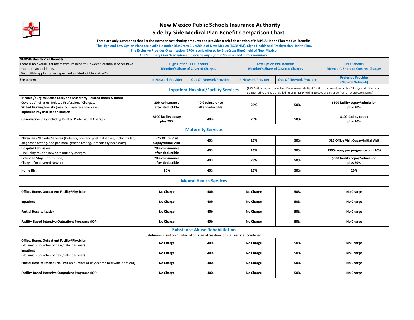

| <u>man a</u>                                                                                                                                                                                                                                                              |                                          | Side-Dy-Side Micdical Fight Defierit Companison Chart                                            |                            |           |                                          |                                          |  |  |
|---------------------------------------------------------------------------------------------------------------------------------------------------------------------------------------------------------------------------------------------------------------------------|------------------------------------------|--------------------------------------------------------------------------------------------------|----------------------------|-----------|------------------------------------------|------------------------------------------|--|--|
| These are only summaries that list the member cost-sharing amounts and provides a brief description of NMPSIA Health Plan medical benefits.                                                                                                                               |                                          |                                                                                                  |                            |           |                                          |                                          |  |  |
| The High and Low Option Plans are available under BlueCross BlueShield of New Mexico (BCBSNM), Cigna Health and Presbyterian Health Plan.                                                                                                                                 |                                          |                                                                                                  |                            |           |                                          |                                          |  |  |
|                                                                                                                                                                                                                                                                           |                                          | The Exclusive Provider Organization (EPO) is only offered by BlueCross BlueShield of New Mexico. |                            |           |                                          |                                          |  |  |
|                                                                                                                                                                                                                                                                           |                                          | The Summary Plan Descriptions supersede any information outlined in this summary.                |                            |           |                                          |                                          |  |  |
| <b>NMPSIA Health Plan Benefits</b>                                                                                                                                                                                                                                        |                                          |                                                                                                  |                            |           |                                          |                                          |  |  |
| There is no overall lifetime maximum benefit. However, certain services have                                                                                                                                                                                              | <b>High Option PPO Benefits</b>          |                                                                                                  |                            |           | <b>Low Option PPO Benefits</b>           | <b>EPO Benefits</b>                      |  |  |
| maximum annual limits.                                                                                                                                                                                                                                                    | <b>Member's Share of Covered Charges</b> |                                                                                                  |                            |           | <b>Member's Share of Covered Charges</b> | <b>Member's Share of Covered Charges</b> |  |  |
| (Deductible applies unless specified as "deductible waived")                                                                                                                                                                                                              | <b>Preferred Provider</b>                |                                                                                                  |                            |           |                                          |                                          |  |  |
| See below:                                                                                                                                                                                                                                                                | <b>In-Network Provider</b>               | <b>Out-Of-Network Provider</b>                                                                   | <b>In-Network Provider</b> |           | <b>Out-Of-Network Provider</b>           | (Narrow Network)                         |  |  |
| (EPO Option copays are waived if you are re-admitted for the same condition within 15 days of discharge or<br><b>Inpatient Hospital/Facility Services</b><br>transferred to a rehab or skilled nursing facility within 15 days of discharge from an acute care facility.) |                                          |                                                                                                  |                            |           |                                          |                                          |  |  |
| Medical/Surgical Acute Care, and Maternity-Related Room & Board                                                                                                                                                                                                           |                                          |                                                                                                  |                            |           |                                          |                                          |  |  |
| Covered Ancillaries, Related Professional Charges,                                                                                                                                                                                                                        | 20% coinsurance                          | 40% coinsurance                                                                                  | 25%                        |           | 50%                                      | \$500 facility copay/admission           |  |  |
| Skilled Nursing Facility (max. 60 days/calendar year)                                                                                                                                                                                                                     | after deductible                         | after deductible                                                                                 |                            |           |                                          | plus 20%                                 |  |  |
| <b>Inpatient Physical Rehabilitation</b>                                                                                                                                                                                                                                  |                                          |                                                                                                  |                            |           |                                          |                                          |  |  |
| <b>Observation Stay including Related Professional Charges</b>                                                                                                                                                                                                            | \$100 facility copay<br>plus 20%         | 40%                                                                                              |                            | 25%       | 50%                                      | \$100 facility copay<br>plus 20%         |  |  |
| <b>Maternity Services</b>                                                                                                                                                                                                                                                 |                                          |                                                                                                  |                            |           |                                          |                                          |  |  |
| Physicians Midwife Services (Delivery, pre- and post-natal care, including lab,                                                                                                                                                                                           | \$25 Office Visit                        |                                                                                                  |                            |           |                                          |                                          |  |  |
| diagnostic testing, and pre-natal genetic testing, if medically necessary)                                                                                                                                                                                                | Copay/Initial Visit                      | 40%                                                                                              |                            | 25%       | 50%                                      | \$25 Office Visit Copay/Initial Visit    |  |  |
| <b>Hospital Admission</b>                                                                                                                                                                                                                                                 | 20% coinsurance                          |                                                                                                  |                            |           |                                          |                                          |  |  |
| (Including routine newborn nursery charges)                                                                                                                                                                                                                               | after deductible                         | 40%                                                                                              | 25%                        |           | 50%                                      | \$500 copay per pregnancy plus 20%       |  |  |
| <b>Extended Stay (non-routine)</b>                                                                                                                                                                                                                                        | 20% coinsurance                          |                                                                                                  |                            |           |                                          | \$500 facility copay/admission           |  |  |
| Charges for covered Newborn                                                                                                                                                                                                                                               | after deductible                         | 40%                                                                                              | 25%                        |           | 50%                                      | plus 20%                                 |  |  |
| <b>Home Birth</b>                                                                                                                                                                                                                                                         | 20%                                      | 40%                                                                                              | 25%                        |           | 50%                                      | 20%                                      |  |  |
|                                                                                                                                                                                                                                                                           |                                          | <b>Mental Health Services</b>                                                                    |                            |           |                                          |                                          |  |  |
| Office, Home, Outpatient Facility/Physician                                                                                                                                                                                                                               | No Charge                                | 40%                                                                                              |                            | No Charge | 50%                                      | No Charge                                |  |  |
| Inpatient                                                                                                                                                                                                                                                                 | No Charge                                | 40%                                                                                              | No Charge                  |           | 50%                                      | No Charge                                |  |  |
| <b>Partial Hospitalization</b>                                                                                                                                                                                                                                            | <b>No Charge</b>                         | 40%                                                                                              | No Charge                  |           | 50%                                      | No Charge                                |  |  |
| <b>Facility-Based Intensive Outpatient Programs (IOP)</b>                                                                                                                                                                                                                 | No Charge                                | 40%                                                                                              |                            | No Charge | 50%                                      | No Charge                                |  |  |
| <b>Substance Abuse Rehabilitation</b><br>(Lifetime-no limit on number of courses of treatment for all services combined)                                                                                                                                                  |                                          |                                                                                                  |                            |           |                                          |                                          |  |  |
| Office, Home, Outpatient Facility/Physician                                                                                                                                                                                                                               |                                          |                                                                                                  |                            |           |                                          |                                          |  |  |
| (No limit on number of days/calendar year)                                                                                                                                                                                                                                | <b>No Charge</b>                         | 40%                                                                                              |                            | No Charge | 50%                                      | No Charge                                |  |  |
| Inpatient                                                                                                                                                                                                                                                                 |                                          |                                                                                                  |                            |           |                                          |                                          |  |  |
| No Charge<br>40%<br>No Charge<br>50%<br>No Charge<br>(No limit on number of days/calendar year)                                                                                                                                                                           |                                          |                                                                                                  |                            |           |                                          |                                          |  |  |
| Partial Hospitalization (No limit on number of days/combined with Inpatient)                                                                                                                                                                                              | No Charge                                | 40%                                                                                              |                            | No Charge | 50%                                      | No Charge                                |  |  |
| <b>Facility-Based Intensive Outpatient Programs (IOP)</b>                                                                                                                                                                                                                 | No Charge                                | 40%                                                                                              | No Charge                  |           | 50%                                      | No Charge                                |  |  |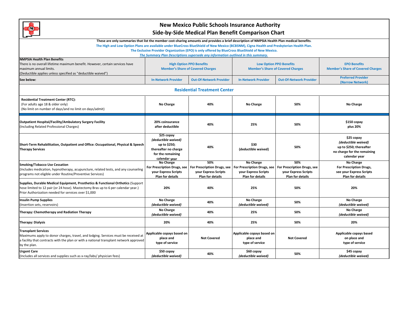

|                                                                                                                                                                                                                                                                                          |                                                                                                                 | Side-by-Side Medical Plan Belletic Companson Chart                                                                                                                                    |                                                                                                    |                                                                                       |                                                                                                              |
|------------------------------------------------------------------------------------------------------------------------------------------------------------------------------------------------------------------------------------------------------------------------------------------|-----------------------------------------------------------------------------------------------------------------|---------------------------------------------------------------------------------------------------------------------------------------------------------------------------------------|----------------------------------------------------------------------------------------------------|---------------------------------------------------------------------------------------|--------------------------------------------------------------------------------------------------------------|
| These are only summaries that list the member cost-sharing amounts and provides a brief description of NMPSIA Health Plan medical benefits.<br>The High and Low Option Plans are available under BlueCross BlueShield of New Mexico (BCBSNM), Cigna Health and Presbyterian Health Plan. |                                                                                                                 | The Exclusive Provider Organization (EPO) is only offered by BlueCross BlueShield of New Mexico.<br>The Summary Plan Descriptions supersede any information outlined in this summary. |                                                                                                    |                                                                                       |                                                                                                              |
| <b>NMPSIA Health Plan Benefits</b><br>There is no overall lifetime maximum benefit. However, certain services have<br>maximum annual limits.<br>(Deductible applies unless specified as "deductible waived")                                                                             | <b>High Option PPO Benefits</b><br><b>Member's Share of Covered Charges</b>                                     |                                                                                                                                                                                       | <b>Low Option PPO Benefits</b><br><b>Member's Share of Covered Charges</b>                         |                                                                                       | <b>EPO Benefits</b><br><b>Member's Share of Covered Charges</b>                                              |
| See below:                                                                                                                                                                                                                                                                               | <b>In-Network Provider</b><br><b>Out-Of-Network Provider</b>                                                    |                                                                                                                                                                                       | <b>In-Network Provider</b>                                                                         | <b>Out-Of-Network Provider</b>                                                        | <b>Preferred Provider</b><br>(Narrow Network)                                                                |
|                                                                                                                                                                                                                                                                                          |                                                                                                                 | <b>Residential Treatment Center</b>                                                                                                                                                   |                                                                                                    |                                                                                       |                                                                                                              |
| <b>Residential Treatment Center (RTC):</b><br>(For adults age 18 & older only)<br>(No limit on number of days/and no limit on days/admit)                                                                                                                                                | No Charge                                                                                                       | 40%                                                                                                                                                                                   | No Charge                                                                                          | 50%                                                                                   | No Charge                                                                                                    |
| Outpatient Hospital/Facility/Ambulatory Surgery Facility<br>(Including Related Professional Charges)                                                                                                                                                                                     | 20% coinsurance<br>after deductible                                                                             | 40%                                                                                                                                                                                   | 25%                                                                                                | 50%                                                                                   | \$150 copay<br>plus 20%                                                                                      |
| Short-Term Rehabilitation, Outpatient and Office: Occupational, Physical & Speech<br><b>Therapy Services</b>                                                                                                                                                                             | \$25 copay<br>(deductible waived)<br>up to \$250;<br>thereafter no charge<br>for the remaining<br>calendar year | 40%                                                                                                                                                                                   | \$30<br>(deductible waived)                                                                        | 50%                                                                                   | \$25 copay<br>(deductible waived)<br>up to \$250; thereafter<br>no charge for the remaining<br>calendar year |
| <b>Smoking/Tobacco Use Cessation</b><br>(Includes medication, hypnotherapy, acupuncture, related tests, and any counseling<br>programs not eligible under Routine/Preventive Services)                                                                                                   | No Charge<br>For Prescription Drugs, see<br>your Express Scripts<br>Plan for details                            | 50%<br>For Prescription Drugs, see<br><b>your Express Scripts</b><br>Plan for details                                                                                                 | No Charge<br>For Prescription Drugs, see<br><b>your Express Scripts</b><br><b>Plan for details</b> | 50%<br>For Prescription Drugs, see<br><b>your Express Scripts</b><br>Plan for details | No Charge<br>For Prescription Drugs,<br>see your Express Scripts<br><b>Plan for details</b>                  |
| Supplies, Durable Medical Equipment, Prosthetics & Functional Orthotics (Support<br>hose limited to 12 pair (or 24 hose). Mastectomy Bras up to 6 per calendar year.)<br>Prior Authorization needed for services over \$1,000                                                            | 20%                                                                                                             | 40%                                                                                                                                                                                   | 25%                                                                                                | 50%                                                                                   | 20%                                                                                                          |
| <b>Insulin Pump Supplies</b><br>(Insertion sets, reservoirs)                                                                                                                                                                                                                             | No Charge<br>(deductible waived)                                                                                | 40%                                                                                                                                                                                   | No Charge<br>(deductible waived)                                                                   | 50%                                                                                   | No Charge<br>(deductible waived)                                                                             |
| Therapy: Chemotherapy and Radiation Therapy                                                                                                                                                                                                                                              | No Charge<br>(deductible waived)                                                                                | 40%                                                                                                                                                                                   | 25%                                                                                                | 50%                                                                                   | No Charge<br>(deductible waived)                                                                             |
| <b>Therapy: Dialysis</b>                                                                                                                                                                                                                                                                 | 20%                                                                                                             | 40%                                                                                                                                                                                   | 25%                                                                                                | 50%                                                                                   | 20%                                                                                                          |
| <b>Transplant Services</b><br>Maximums apply to donor charges, travel, and lodging. Services must be received at<br>a facility that contracts with the plan or with a national transplant network approved<br>by the plan.                                                               | Applicable copays based on<br>place and<br>type of service                                                      | <b>Not Covered</b>                                                                                                                                                                    | Applicable copays based on<br>place and<br>type of service                                         | <b>Not Covered</b>                                                                    | Applicable copays based<br>on place and<br>type of service                                                   |
| <b>Urgent Care</b><br>(Includes all services and supplies such as x-ray/labs/ physician fees)                                                                                                                                                                                            | \$50 copay<br>(deductible waived)                                                                               | 40%                                                                                                                                                                                   | \$60 copay<br>(deductible waived)                                                                  | 50%                                                                                   | \$45 copay<br>(deductible waived)                                                                            |